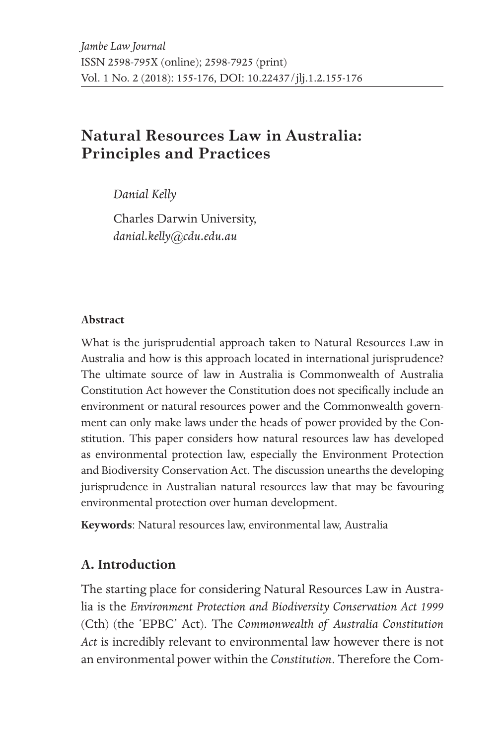# **Natural Resources Law in Australia: Principles and Practices**

*Danial Kelly* 

Charles Darwin University, *danial.kelly@cdu.edu.au*

#### **Abstract**

What is the jurisprudential approach taken to Natural Resources Law in Australia and how is this approach located in international jurisprudence? The ultimate source of law in Australia is Commonwealth of Australia Constitution Act however the Constitution does not specifically include an environment or natural resources power and the Commonwealth government can only make laws under the heads of power provided by the Constitution. This paper considers how natural resources law has developed as environmental protection law, especially the Environment Protection and Biodiversity Conservation Act. The discussion unearths the developing jurisprudence in Australian natural resources law that may be favouring environmental protection over human development.

**Keywords**: Natural resources law, environmental law, Australia

### **A. Introduction**

The starting place for considering Natural Resources Law in Australia is the *Environment Protection and Biodiversity Conservation Act 1999* (Cth) (the 'EPBC' Act). The *Commonwealth of Australia Constitution Act* is incredibly relevant to environmental law however there is not an environmental power within the *Constitution*. Therefore the Com-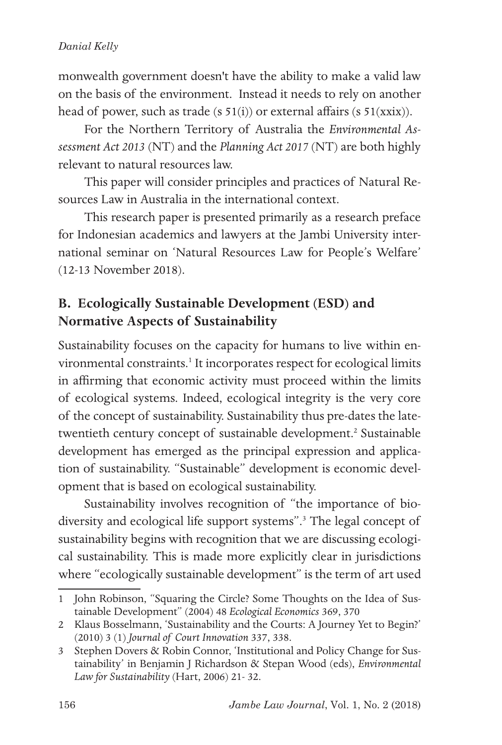monwealth government doesn't have the ability to make a valid law on the basis of the environment. Instead it needs to rely on another head of power, such as trade (s 51(i)) or external affairs (s 51(xxix)).

For the Northern Territory of Australia the *Environmental Assessment Act 2013* (NT) and the *Planning Act 2017* (NT) are both highly relevant to natural resources law.

This paper will consider principles and practices of Natural Resources Law in Australia in the international context.

This research paper is presented primarily as a research preface for Indonesian academics and lawyers at the Jambi University international seminar on 'Natural Resources Law for People's Welfare' (12-13 November 2018).

## **B. Ecologically Sustainable Development (ESD) and Normative Aspects of Sustainability**

Sustainability focuses on the capacity for humans to live within environmental constraints.<sup>1</sup> It incorporates respect for ecological limits in affirming that economic activity must proceed within the limits of ecological systems. Indeed, ecological integrity is the very core of the concept of sustainability. Sustainability thus pre-dates the latetwentieth century concept of sustainable development.<sup>2</sup> Sustainable development has emerged as the principal expression and application of sustainability. "Sustainable" development is economic development that is based on ecological sustainability.

Sustainability involves recognition of "the importance of biodiversity and ecological life support systems".3 The legal concept of sustainability begins with recognition that we are discussing ecological sustainability. This is made more explicitly clear in jurisdictions where "ecologically sustainable development" is the term of art used

<sup>1</sup> John Robinson, "Squaring the Circle? Some Thoughts on the Idea of Sustainable Development" (2004) 48 *Ecological Economics* 369, 370

<sup>2</sup> Klaus Bosselmann, 'Sustainability and the Courts: A Journey Yet to Begin?' (2010) 3 (1) *Journal of Court Innovation* 337, 338.

<sup>3</sup> Stephen Dovers & Robin Connor, 'Institutional and Policy Change for Sustainability' in Benjamin J Richardson & Stepan Wood (eds), *Environmental Law for Sustainability* (Hart, 2006) 21- 32.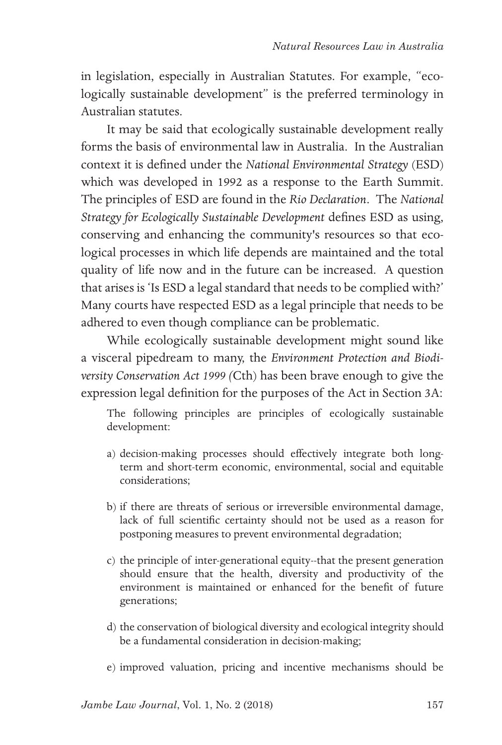in legislation, especially in Australian Statutes. For example, "ecologically sustainable development" is the preferred terminology in Australian statutes.

It may be said that ecologically sustainable development really forms the basis of environmental law in Australia. In the Australian context it is defined under the *National Environmental Strategy* (ESD) which was developed in 1992 as a response to the Earth Summit. The principles of ESD are found in the *Rio Declaration*. The *National Strategy for Ecologically Sustainable Development* defines ESD as using, conserving and enhancing the community's resources so that ecological processes in which life depends are maintained and the total quality of life now and in the future can be increased. A question that arises is 'Is ESD a legal standard that needs to be complied with?' Many courts have respected ESD as a legal principle that needs to be adhered to even though compliance can be problematic.

While ecologically sustainable development might sound like a visceral pipedream to many, the *Environment Protection and Biodiversity Conservation Act 1999 (*Cth) has been brave enough to give the expression legal definition for the purposes of the Act in Section 3A:

The following principles are principles of ecologically sustainable development:

- a) decision-making processes should effectively integrate both longterm and short-term economic, environmental, social and equitable considerations;
- b) if there are threats of serious or irreversible environmental damage, lack of full scientific certainty should not be used as a reason for postponing measures to prevent environmental degradation;
- c) the principle of inter-generational equity--that the present generation should ensure that the health, diversity and productivity of the environment is maintained or enhanced for the benefit of future generations;
- d) the conservation of biological diversity and ecological integrity should be a fundamental consideration in decision-making;
- e) improved valuation, pricing and incentive mechanisms should be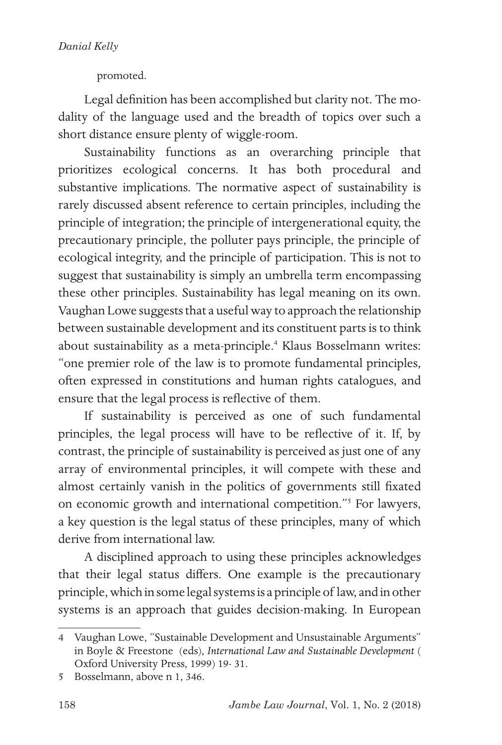promoted.

Legal definition has been accomplished but clarity not. The modality of the language used and the breadth of topics over such a short distance ensure plenty of wiggle-room.

Sustainability functions as an overarching principle that prioritizes ecological concerns. It has both procedural and substantive implications. The normative aspect of sustainability is rarely discussed absent reference to certain principles, including the principle of integration; the principle of intergenerational equity, the precautionary principle, the polluter pays principle, the principle of ecological integrity, and the principle of participation. This is not to suggest that sustainability is simply an umbrella term encompassing these other principles. Sustainability has legal meaning on its own. Vaughan Lowe suggests that a useful way to approach the relationship between sustainable development and its constituent parts is to think about sustainability as a meta-principle.<sup>4</sup> Klaus Bosselmann writes: "one premier role of the law is to promote fundamental principles, often expressed in constitutions and human rights catalogues, and ensure that the legal process is reflective of them.

If sustainability is perceived as one of such fundamental principles, the legal process will have to be reflective of it. If, by contrast, the principle of sustainability is perceived as just one of any array of environmental principles, it will compete with these and almost certainly vanish in the politics of governments still fixated on economic growth and international competition."5 For lawyers, a key question is the legal status of these principles, many of which derive from international law.

A disciplined approach to using these principles acknowledges that their legal status differs. One example is the precautionary principle, which in some legal systems is a principle of law, and in other systems is an approach that guides decision-making. In European

<sup>4</sup> Vaughan Lowe, "Sustainable Development and Unsustainable Arguments" in Boyle & Freestone (eds), *International Law and Sustainable Development* ( Oxford University Press, 1999) 19- 31.

<sup>5</sup> Bosselmann, above n 1, 346.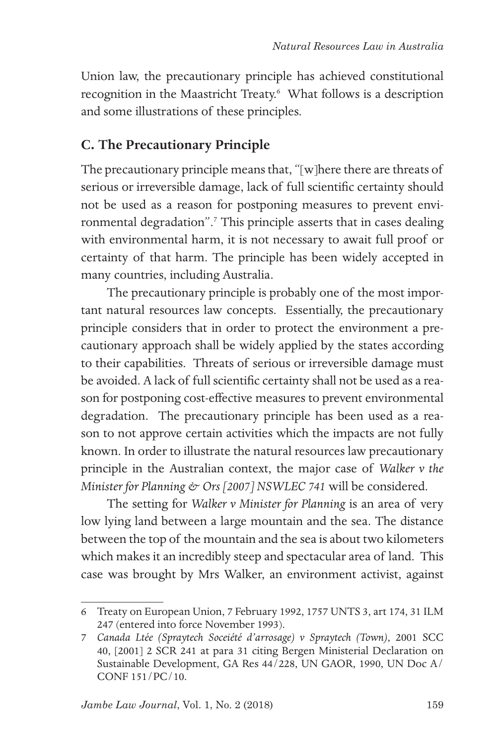Union law, the precautionary principle has achieved constitutional recognition in the Maastricht Treaty.<sup>6</sup> What follows is a description and some illustrations of these principles.

### **C. The Precautionary Principle**

The precautionary principle means that, "[w]here there are threats of serious or irreversible damage, lack of full scientific certainty should not be used as a reason for postponing measures to prevent environmental degradation".<sup>7</sup> This principle asserts that in cases dealing with environmental harm, it is not necessary to await full proof or certainty of that harm. The principle has been widely accepted in many countries, including Australia.

The precautionary principle is probably one of the most important natural resources law concepts. Essentially, the precautionary principle considers that in order to protect the environment a precautionary approach shall be widely applied by the states according to their capabilities. Threats of serious or irreversible damage must be avoided. A lack of full scientific certainty shall not be used as a reason for postponing cost-effective measures to prevent environmental degradation. The precautionary principle has been used as a reason to not approve certain activities which the impacts are not fully known. In order to illustrate the natural resources law precautionary principle in the Australian context, the major case of *Walker v the Minister for Planning & Ors [2007] NSWLEC 741* will be considered.

The setting for *Walker v Minister for Planning* is an area of very low lying land between a large mountain and the sea. The distance between the top of the mountain and the sea is about two kilometers which makes it an incredibly steep and spectacular area of land. This case was brought by Mrs Walker, an environment activist, against

<sup>6</sup> Treaty on European Union, 7 February 1992, 1757 UNTS 3, art 174, 31 ILM 247 (entered into force November 1993).

<sup>7</sup> *Canada Ltée (Spraytech Soceiété d'arrosage) v Spraytech (Town)*, 2001 SCC 40, [2001] 2 SCR 241 at para 31 citing Bergen Ministerial Declaration on Sustainable Development, GA Res 44/228, UN GAOR, 1990, UN Doc A/ CONF 151/PC/10.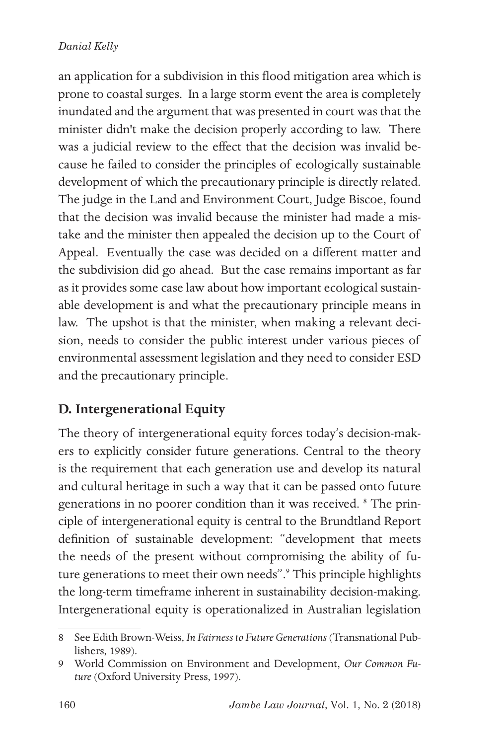an application for a subdivision in this flood mitigation area which is prone to coastal surges. In a large storm event the area is completely inundated and the argument that was presented in court was that the minister didn't make the decision properly according to law. There was a judicial review to the effect that the decision was invalid because he failed to consider the principles of ecologically sustainable development of which the precautionary principle is directly related. The judge in the Land and Environment Court, Judge Biscoe, found that the decision was invalid because the minister had made a mistake and the minister then appealed the decision up to the Court of Appeal. Eventually the case was decided on a different matter and the subdivision did go ahead. But the case remains important as far as it provides some case law about how important ecological sustainable development is and what the precautionary principle means in law. The upshot is that the minister, when making a relevant decision, needs to consider the public interest under various pieces of environmental assessment legislation and they need to consider ESD and the precautionary principle.

## **D. Intergenerational Equity**

The theory of intergenerational equity forces today's decision-makers to explicitly consider future generations. Central to the theory is the requirement that each generation use and develop its natural and cultural heritage in such a way that it can be passed onto future generations in no poorer condition than it was received. <sup>8</sup> The principle of intergenerational equity is central to the Brundtland Report definition of sustainable development: "development that meets the needs of the present without compromising the ability of future generations to meet their own needs".<sup>9</sup> This principle highlights the long-term timeframe inherent in sustainability decision-making. Intergenerational equity is operationalized in Australian legislation

<sup>8</sup> See Edith Brown-Weiss, *In Fairness to Future Generations* (Transnational Publishers, 1989).

<sup>9</sup> World Commission on Environment and Development, *Our Common Future* (Oxford University Press, 1997).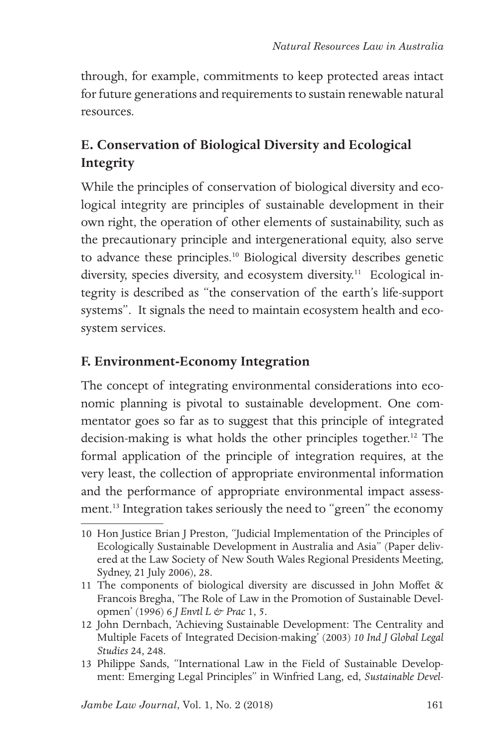through, for example, commitments to keep protected areas intact for future generations and requirements to sustain renewable natural resources.

## **E. Conservation of Biological Diversity and Ecological Integrity**

While the principles of conservation of biological diversity and ecological integrity are principles of sustainable development in their own right, the operation of other elements of sustainability, such as the precautionary principle and intergenerational equity, also serve to advance these principles.10 Biological diversity describes genetic diversity, species diversity, and ecosystem diversity.<sup>11</sup> Ecological integrity is described as "the conservation of the earth's life-support systems". It signals the need to maintain ecosystem health and ecosystem services.

### **F. Environment-Economy Integration**

The concept of integrating environmental considerations into economic planning is pivotal to sustainable development. One commentator goes so far as to suggest that this principle of integrated decision-making is what holds the other principles together.<sup>12</sup> The formal application of the principle of integration requires, at the very least, the collection of appropriate environmental information and the performance of appropriate environmental impact assessment.13 Integration takes seriously the need to "green" the economy

<sup>10</sup> Hon Justice Brian J Preston, "Judicial Implementation of the Principles of Ecologically Sustainable Development in Australia and Asia" (Paper delivered at the Law Society of New South Wales Regional Presidents Meeting, Sydney, 21 July 2006), 28.

<sup>11</sup> The components of biological diversity are discussed in John Moffet & Francois Bregha, 'The Role of Law in the Promotion of Sustainable Developmen' (1996) 6 *J Envtl L & Prac* 1, 5.

<sup>12</sup> John Dernbach, 'Achieving Sustainable Development: The Centrality and Multiple Facets of Integrated Decision-making' (2003) *10 Ind J Global Legal Studies* 24, 248.

<sup>13</sup> Philippe Sands, "International Law in the Field of Sustainable Development: Emerging Legal Principles" in Winfried Lang, ed, *Sustainable Devel-*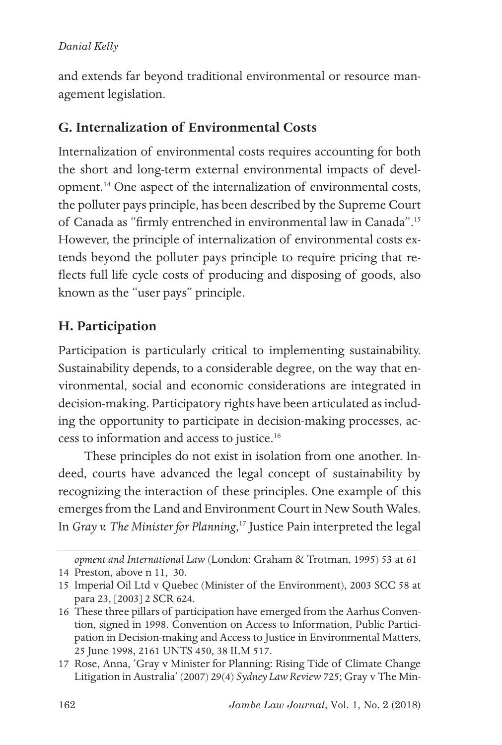and extends far beyond traditional environmental or resource management legislation.

### **G. Internalization of Environmental Costs**

Internalization of environmental costs requires accounting for both the short and long-term external environmental impacts of development.14 One aspect of the internalization of environmental costs, the polluter pays principle, has been described by the Supreme Court of Canada as "firmly entrenched in environmental law in Canada".15 However, the principle of internalization of environmental costs extends beyond the polluter pays principle to require pricing that reflects full life cycle costs of producing and disposing of goods, also known as the "user pays" principle.

## **H. Participation**

Participation is particularly critical to implementing sustainability. Sustainability depends, to a considerable degree, on the way that environmental, social and economic considerations are integrated in decision-making. Participatory rights have been articulated as including the opportunity to participate in decision-making processes, access to information and access to justice.16

These principles do not exist in isolation from one another. Indeed, courts have advanced the legal concept of sustainability by recognizing the interaction of these principles. One example of this emerges from the Land and Environment Court in New South Wales. In *Gray v. The Minister for Planning*, 17 Justice Pain interpreted the legal

*opment and International Law* (London: Graham & Trotman, 1995) 53 at 61 14 Preston, above n 11, 30.

<sup>15</sup> Imperial Oil Ltd v Quebec (Minister of the Environment), 2003 SCC 58 at para 23, [2003] 2 SCR 624.

<sup>16</sup> These three pillars of participation have emerged from the Aarhus Convention, signed in 1998. Convention on Access to Information, Public Participation in Decision-making and Access to Justice in Environmental Matters, 25 June 1998, 2161 UNTS 450, 38 ILM 517.

<sup>17</sup> Rose, Anna, 'Gray v Minister for Planning: Rising Tide of Climate Change Litigation in Australia' (2007) 29(4) *Sydney Law Review* 725; Gray v The Min-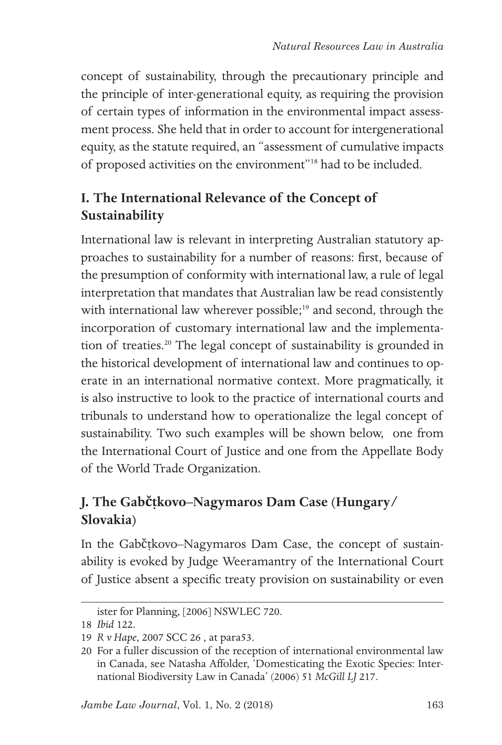concept of sustainability, through the precautionary principle and the principle of inter-generational equity, as requiring the provision of certain types of information in the environmental impact assessment process. She held that in order to account for intergenerational equity, as the statute required, an "assessment of cumulative impacts of proposed activities on the environment"18 had to be included.

# **I. The International Relevance of the Concept of Sustainability**

International law is relevant in interpreting Australian statutory approaches to sustainability for a number of reasons: first, because of the presumption of conformity with international law, a rule of legal interpretation that mandates that Australian law be read consistently with international law wherever possible;<sup>19</sup> and second, through the incorporation of customary international law and the implementation of treaties.20 The legal concept of sustainability is grounded in the historical development of international law and continues to operate in an international normative context. More pragmatically, it is also instructive to look to the practice of international courts and tribunals to understand how to operationalize the legal concept of sustainability. Two such examples will be shown below, one from the International Court of Justice and one from the Appellate Body of the World Trade Organization.

# **J. The Gabčíkovo–Nagymaros Dam Case (Hungary/ Slovakia)**

In the Gabčíkovo–Nagymaros Dam Case, the concept of sustainability is evoked by Judge Weeramantry of the International Court of Justice absent a specific treaty provision on sustainability or even

ister for Planning, [2006] NSWLEC 720.

<sup>18</sup> *Ibid* 122.

<sup>19</sup> *R v Hape*, 2007 SCC 26 , at para53.

<sup>20</sup> For a fuller discussion of the reception of international environmental law in Canada, see Natasha Affolder, 'Domesticating the Exotic Species: International Biodiversity Law in Canada' (2006) 51 *McGill LJ* 217.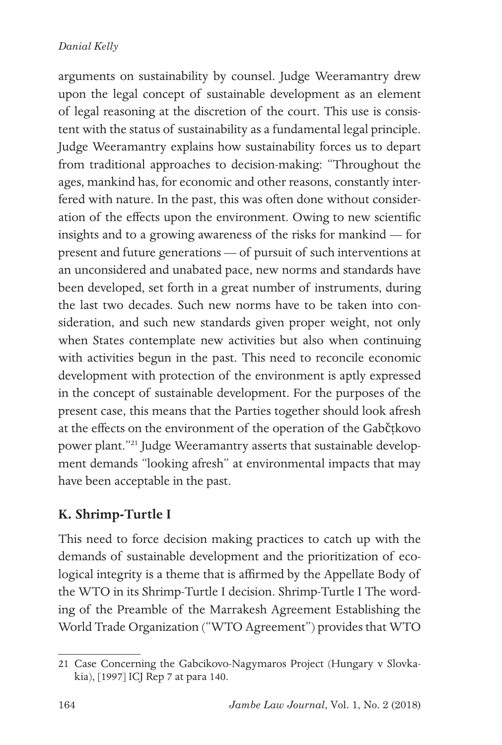arguments on sustainability by counsel. Judge Weeramantry drew upon the legal concept of sustainable development as an element of legal reasoning at the discretion of the court. This use is consistent with the status of sustainability as a fundamental legal principle. Judge Weeramantry explains how sustainability forces us to depart from traditional approaches to decision-making: "Throughout the ages, mankind has, for economic and other reasons, constantly interfered with nature. In the past, this was often done without consideration of the effects upon the environment. Owing to new scientific insights and to a growing awareness of the risks for mankind — for present and future generations — of pursuit of such interventions at an unconsidered and unabated pace, new norms and standards have been developed, set forth in a great number of instruments, during the last two decades. Such new norms have to be taken into consideration, and such new standards given proper weight, not only when States contemplate new activities but also when continuing with activities begun in the past. This need to reconcile economic development with protection of the environment is aptly expressed in the concept of sustainable development. For the purposes of the present case, this means that the Parties together should look afresh at the effects on the environment of the operation of the Gabčíkovo power plant."21 Judge Weeramantry asserts that sustainable development demands "looking afresh" at environmental impacts that may have been acceptable in the past.

## **K. Shrimp-Turtle I**

This need to force decision making practices to catch up with the demands of sustainable development and the prioritization of ecological integrity is a theme that is affirmed by the Appellate Body of the WTO in its Shrimp-Turtle I decision. Shrimp-Turtle I The wording of the Preamble of the Marrakesh Agreement Establishing the World Trade Organization ("WTO Agreement") provides that WTO

<sup>21</sup> Case Concerning the Gabcikovo-Nagymaros Project (Hungary v Slovkakia), [1997] ICJ Rep 7 at para 140.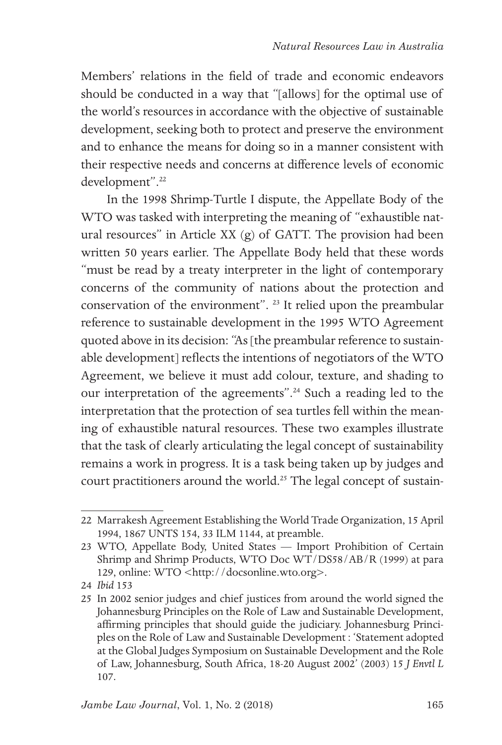Members' relations in the field of trade and economic endeavors should be conducted in a way that "[allows] for the optimal use of the world's resources in accordance with the objective of sustainable development, seeking both to protect and preserve the environment and to enhance the means for doing so in a manner consistent with their respective needs and concerns at difference levels of economic development".<sup>22</sup>

In the 1998 Shrimp-Turtle I dispute, the Appellate Body of the WTO was tasked with interpreting the meaning of "exhaustible natural resources" in Article XX (g) of GATT. The provision had been written 50 years earlier. The Appellate Body held that these words "must be read by a treaty interpreter in the light of contemporary concerns of the community of nations about the protection and conservation of the environment". 23 It relied upon the preambular reference to sustainable development in the 1995 WTO Agreement quoted above in its decision: "As [the preambular reference to sustainable development] reflects the intentions of negotiators of the WTO Agreement, we believe it must add colour, texture, and shading to our interpretation of the agreements".<sup>24</sup> Such a reading led to the interpretation that the protection of sea turtles fell within the meaning of exhaustible natural resources. These two examples illustrate that the task of clearly articulating the legal concept of sustainability remains a work in progress. It is a task being taken up by judges and court practitioners around the world.<sup>25</sup> The legal concept of sustain-

<sup>22</sup> Marrakesh Agreement Establishing the World Trade Organization, 15 April 1994, 1867 UNTS 154, 33 ILM 1144, at preamble.

<sup>23</sup> WTO, Appellate Body, United States — Import Prohibition of Certain Shrimp and Shrimp Products, WTO Doc WT/DS58/AB/R (1999) at para 129, online: WTO <http://docsonline.wto.org>.

<sup>24</sup> *Ibid* 153

<sup>25</sup> In 2002 senior judges and chief justices from around the world signed the Johannesburg Principles on the Role of Law and Sustainable Development, affirming principles that should guide the judiciary. Johannesburg Principles on the Role of Law and Sustainable Development : 'Statement adopted at the Global Judges Symposium on Sustainable Development and the Role of Law, Johannesburg, South Africa, 18-20 August 2002' (2003) 15 *J Envtl L* 107.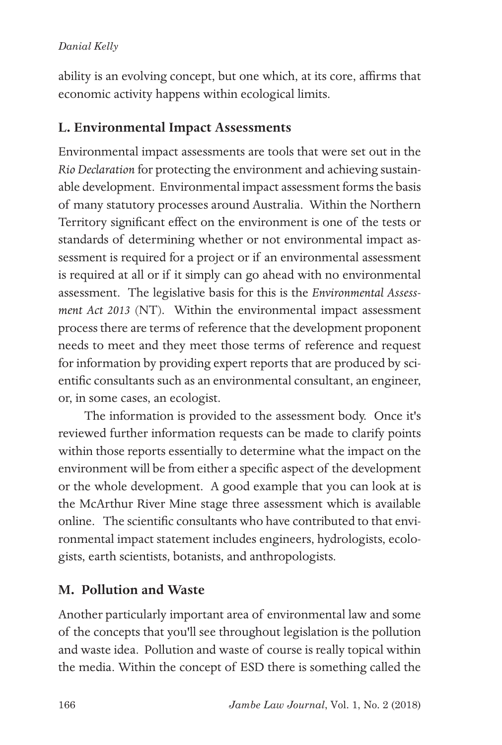ability is an evolving concept, but one which, at its core, affirms that economic activity happens within ecological limits.

### **L. Environmental Impact Assessments**

Environmental impact assessments are tools that were set out in the *Rio Declaration* for protecting the environment and achieving sustainable development. Environmental impact assessment forms the basis of many statutory processes around Australia. Within the Northern Territory significant effect on the environment is one of the tests or standards of determining whether or not environmental impact assessment is required for a project or if an environmental assessment is required at all or if it simply can go ahead with no environmental assessment. The legislative basis for this is the *Environmental Assessment Act 2013* (NT). Within the environmental impact assessment process there are terms of reference that the development proponent needs to meet and they meet those terms of reference and request for information by providing expert reports that are produced by scientific consultants such as an environmental consultant, an engineer, or, in some cases, an ecologist.

The information is provided to the assessment body. Once it's reviewed further information requests can be made to clarify points within those reports essentially to determine what the impact on the environment will be from either a specific aspect of the development or the whole development. A good example that you can look at is the McArthur River Mine stage three assessment which is available online. The scientific consultants who have contributed to that environmental impact statement includes engineers, hydrologists, ecologists, earth scientists, botanists, and anthropologists.

## **M. Pollution and Waste**

Another particularly important area of environmental law and some of the concepts that you'll see throughout legislation is the pollution and waste idea. Pollution and waste of course is really topical within the media. Within the concept of ESD there is something called the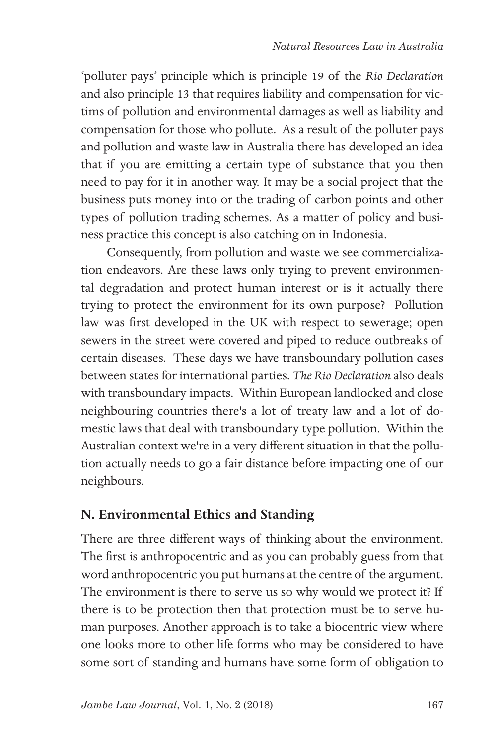'polluter pays' principle which is principle 19 of the *Rio Declaration* and also principle 13 that requires liability and compensation for victims of pollution and environmental damages as well as liability and compensation for those who pollute. As a result of the polluter pays and pollution and waste law in Australia there has developed an idea that if you are emitting a certain type of substance that you then need to pay for it in another way. It may be a social project that the business puts money into or the trading of carbon points and other types of pollution trading schemes. As a matter of policy and business practice this concept is also catching on in Indonesia.

Consequently, from pollution and waste we see commercialization endeavors. Are these laws only trying to prevent environmental degradation and protect human interest or is it actually there trying to protect the environment for its own purpose? Pollution law was first developed in the UK with respect to sewerage; open sewers in the street were covered and piped to reduce outbreaks of certain diseases. These days we have transboundary pollution cases between states for international parties. *The Rio Declaration* also deals with transboundary impacts. Within European landlocked and close neighbouring countries there's a lot of treaty law and a lot of domestic laws that deal with transboundary type pollution. Within the Australian context we're in a very different situation in that the pollution actually needs to go a fair distance before impacting one of our neighbours.

## **N. Environmental Ethics and Standing**

There are three different ways of thinking about the environment. The first is anthropocentric and as you can probably guess from that word anthropocentric you put humans at the centre of the argument. The environment is there to serve us so why would we protect it? If there is to be protection then that protection must be to serve human purposes. Another approach is to take a biocentric view where one looks more to other life forms who may be considered to have some sort of standing and humans have some form of obligation to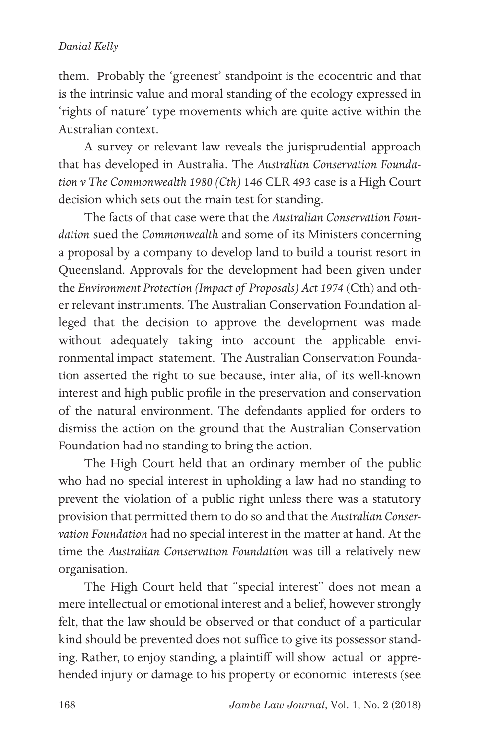them. Probably the 'greenest' standpoint is the ecocentric and that is the intrinsic value and moral standing of the ecology expressed in 'rights of nature' type movements which are quite active within the Australian context.

A survey or relevant law reveals the jurisprudential approach that has developed in Australia. The *Australian Conservation Foundation v The Commonwealth 1980 (Cth)* 146 CLR 493 case is a High Court decision which sets out the main test for standing.

The facts of that case were that the *Australian Conservation Foundation* sued the *Commonwealth* and some of its Ministers concerning a proposal by a company to develop land to build a tourist resort in Queensland. Approvals for the development had been given under the *Environment Protection (Impact of Proposals) Act 1974* (Cth) and other relevant instruments. The Australian Conservation Foundation alleged that the decision to approve the development was made without adequately taking into account the applicable environmental impact statement. The Australian Conservation Foundation asserted the right to sue because, inter alia, of its well-known interest and high public profile in the preservation and conservation of the natural environment. The defendants applied for orders to dismiss the action on the ground that the Australian Conservation Foundation had no standing to bring the action.

The High Court held that an ordinary member of the public who had no special interest in upholding a law had no standing to prevent the violation of a public right unless there was a statutory provision that permitted them to do so and that the *Australian Conservation Foundation* had no special interest in the matter at hand. At the time the *Australian Conservation Foundation* was till a relatively new organisation.

The High Court held that "special interest" does not mean a mere intellectual or emotional interest and a belief, however strongly felt, that the law should be observed or that conduct of a particular kind should be prevented does not suffice to give its possessor standing. Rather, to enjoy standing, a plaintiff will show actual or apprehended injury or damage to his property or economic interests (see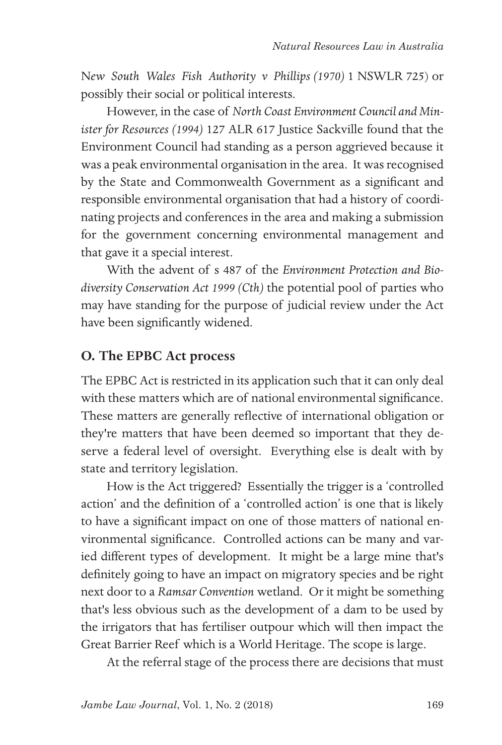N*ew South Wales Fish Authority v Phillips (1970)* 1 NSWLR 725) or possibly their social or political interests.

However, in the case of *North Coast Environment Council and Minister for Resources (1994)* 127 ALR 617 Justice Sackville found that the Environment Council had standing as a person aggrieved because it was a peak environmental organisation in the area. It was recognised by the State and Commonwealth Government as a significant and responsible environmental organisation that had a history of coordinating projects and conferences in the area and making a submission for the government concerning environmental management and that gave it a special interest.

With the advent of s 487 of the *Environment Protection and Biodiversity Conservation Act 1999 (Cth)* the potential pool of parties who may have standing for the purpose of judicial review under the Act have been significantly widened.

### **O. The EPBC Act process**

The EPBC Act is restricted in its application such that it can only deal with these matters which are of national environmental significance. These matters are generally reflective of international obligation or they're matters that have been deemed so important that they deserve a federal level of oversight. Everything else is dealt with by state and territory legislation.

How is the Act triggered? Essentially the trigger is a 'controlled action' and the definition of a 'controlled action' is one that is likely to have a significant impact on one of those matters of national environmental significance. Controlled actions can be many and varied different types of development. It might be a large mine that's definitely going to have an impact on migratory species and be right next door to a *Ramsar Convention* wetland. Or it might be something that's less obvious such as the development of a dam to be used by the irrigators that has fertiliser outpour which will then impact the Great Barrier Reef which is a World Heritage. The scope is large.

At the referral stage of the process there are decisions that must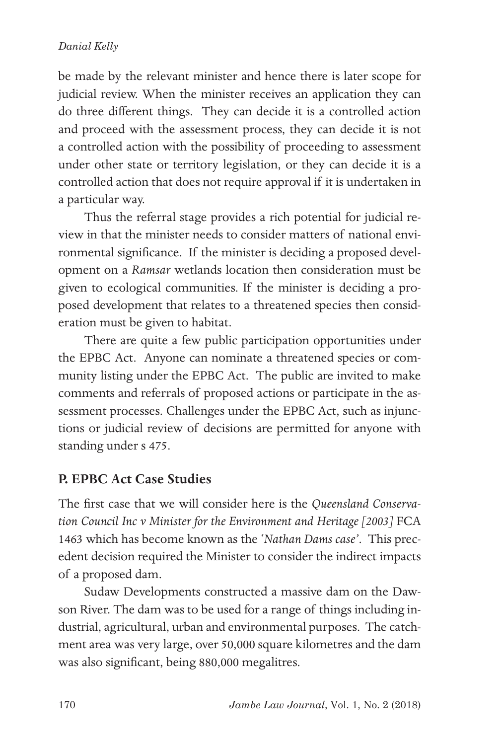be made by the relevant minister and hence there is later scope for judicial review. When the minister receives an application they can do three different things. They can decide it is a controlled action and proceed with the assessment process, they can decide it is not a controlled action with the possibility of proceeding to assessment under other state or territory legislation, or they can decide it is a controlled action that does not require approval if it is undertaken in a particular way.

Thus the referral stage provides a rich potential for judicial review in that the minister needs to consider matters of national environmental significance. If the minister is deciding a proposed development on a *Ramsar* wetlands location then consideration must be given to ecological communities. If the minister is deciding a proposed development that relates to a threatened species then consideration must be given to habitat.

There are quite a few public participation opportunities under the EPBC Act. Anyone can nominate a threatened species or community listing under the EPBC Act. The public are invited to make comments and referrals of proposed actions or participate in the assessment processes. Challenges under the EPBC Act, such as injunctions or judicial review of decisions are permitted for anyone with standing under s 475.

## **P. EPBC Act Case Studies**

The first case that we will consider here is the *Queensland Conservation Council Inc v Minister for the Environment and Heritage [2003]* FCA 1463 which has become known as the '*Nathan Dams case'*. This precedent decision required the Minister to consider the indirect impacts of a proposed dam.

Sudaw Developments constructed a massive dam on the Dawson River. The dam was to be used for a range of things including industrial, agricultural, urban and environmental purposes. The catchment area was very large, over 50,000 square kilometres and the dam was also significant, being 880,000 megalitres.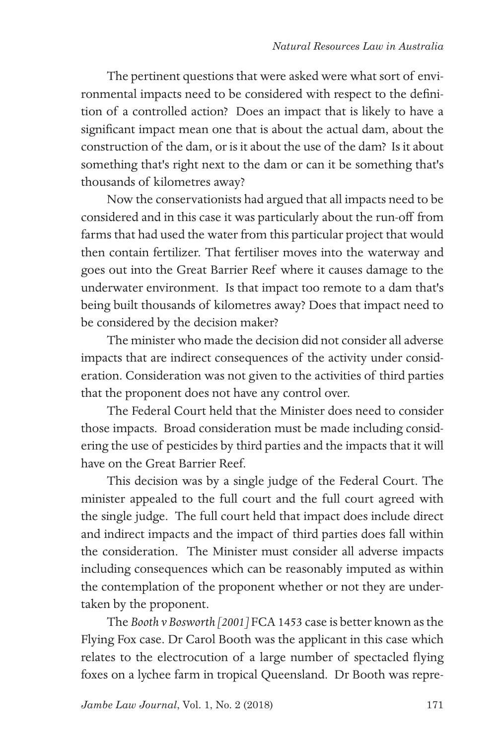The pertinent questions that were asked were what sort of environmental impacts need to be considered with respect to the definition of a controlled action? Does an impact that is likely to have a significant impact mean one that is about the actual dam, about the construction of the dam, or is it about the use of the dam? Is it about something that's right next to the dam or can it be something that's thousands of kilometres away?

Now the conservationists had argued that all impacts need to be considered and in this case it was particularly about the run-off from farms that had used the water from this particular project that would then contain fertilizer. That fertiliser moves into the waterway and goes out into the Great Barrier Reef where it causes damage to the underwater environment. Is that impact too remote to a dam that's being built thousands of kilometres away? Does that impact need to be considered by the decision maker?

The minister who made the decision did not consider all adverse impacts that are indirect consequences of the activity under consideration. Consideration was not given to the activities of third parties that the proponent does not have any control over.

The Federal Court held that the Minister does need to consider those impacts. Broad consideration must be made including considering the use of pesticides by third parties and the impacts that it will have on the Great Barrier Reef.

This decision was by a single judge of the Federal Court. The minister appealed to the full court and the full court agreed with the single judge. The full court held that impact does include direct and indirect impacts and the impact of third parties does fall within the consideration. The Minister must consider all adverse impacts including consequences which can be reasonably imputed as within the contemplation of the proponent whether or not they are undertaken by the proponent.

The *Booth v Bosworth [2001]* FCA 1453 case is better known as the Flying Fox case. Dr Carol Booth was the applicant in this case which relates to the electrocution of a large number of spectacled flying foxes on a lychee farm in tropical Queensland. Dr Booth was repre-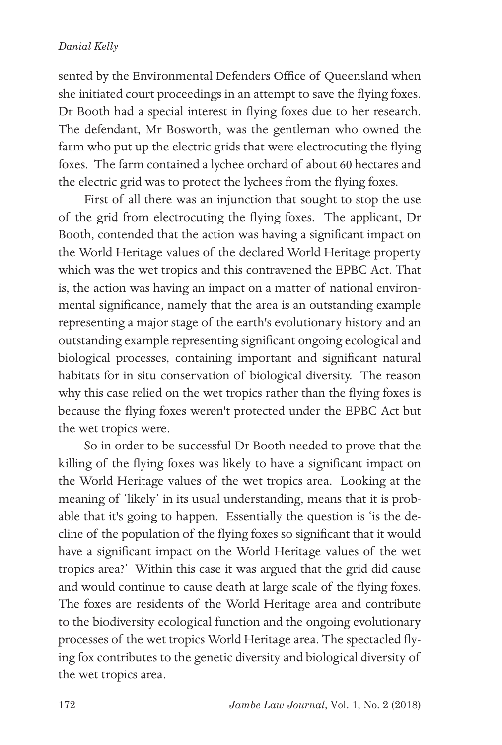sented by the Environmental Defenders Office of Queensland when she initiated court proceedings in an attempt to save the flying foxes. Dr Booth had a special interest in flying foxes due to her research. The defendant, Mr Bosworth, was the gentleman who owned the farm who put up the electric grids that were electrocuting the flying foxes. The farm contained a lychee orchard of about 60 hectares and the electric grid was to protect the lychees from the flying foxes.

First of all there was an injunction that sought to stop the use of the grid from electrocuting the flying foxes. The applicant, Dr Booth, contended that the action was having a significant impact on the World Heritage values of the declared World Heritage property which was the wet tropics and this contravened the EPBC Act. That is, the action was having an impact on a matter of national environmental significance, namely that the area is an outstanding example representing a major stage of the earth's evolutionary history and an outstanding example representing significant ongoing ecological and biological processes, containing important and significant natural habitats for in situ conservation of biological diversity. The reason why this case relied on the wet tropics rather than the flying foxes is because the flying foxes weren't protected under the EPBC Act but the wet tropics were.

So in order to be successful Dr Booth needed to prove that the killing of the flying foxes was likely to have a significant impact on the World Heritage values of the wet tropics area. Looking at the meaning of 'likely' in its usual understanding, means that it is probable that it's going to happen. Essentially the question is 'is the decline of the population of the flying foxes so significant that it would have a significant impact on the World Heritage values of the wet tropics area?' Within this case it was argued that the grid did cause and would continue to cause death at large scale of the flying foxes. The foxes are residents of the World Heritage area and contribute to the biodiversity ecological function and the ongoing evolutionary processes of the wet tropics World Heritage area. The spectacled flying fox contributes to the genetic diversity and biological diversity of the wet tropics area.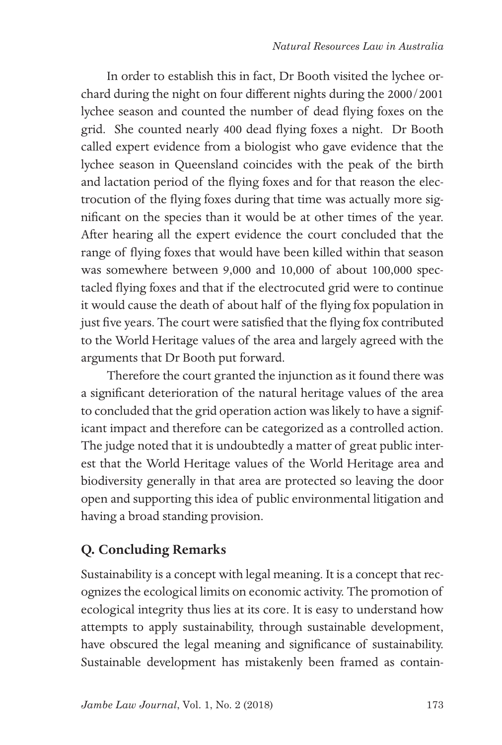In order to establish this in fact, Dr Booth visited the lychee orchard during the night on four different nights during the 2000/2001 lychee season and counted the number of dead flying foxes on the grid. She counted nearly 400 dead flying foxes a night. Dr Booth called expert evidence from a biologist who gave evidence that the lychee season in Queensland coincides with the peak of the birth and lactation period of the flying foxes and for that reason the electrocution of the flying foxes during that time was actually more significant on the species than it would be at other times of the year. After hearing all the expert evidence the court concluded that the range of flying foxes that would have been killed within that season was somewhere between 9,000 and 10,000 of about 100,000 spectacled flying foxes and that if the electrocuted grid were to continue it would cause the death of about half of the flying fox population in just five years. The court were satisfied that the flying fox contributed to the World Heritage values of the area and largely agreed with the arguments that Dr Booth put forward.

Therefore the court granted the injunction as it found there was a significant deterioration of the natural heritage values of the area to concluded that the grid operation action was likely to have a significant impact and therefore can be categorized as a controlled action. The judge noted that it is undoubtedly a matter of great public interest that the World Heritage values of the World Heritage area and biodiversity generally in that area are protected so leaving the door open and supporting this idea of public environmental litigation and having a broad standing provision.

## **Q. Concluding Remarks**

Sustainability is a concept with legal meaning. It is a concept that recognizes the ecological limits on economic activity. The promotion of ecological integrity thus lies at its core. It is easy to understand how attempts to apply sustainability, through sustainable development, have obscured the legal meaning and significance of sustainability. Sustainable development has mistakenly been framed as contain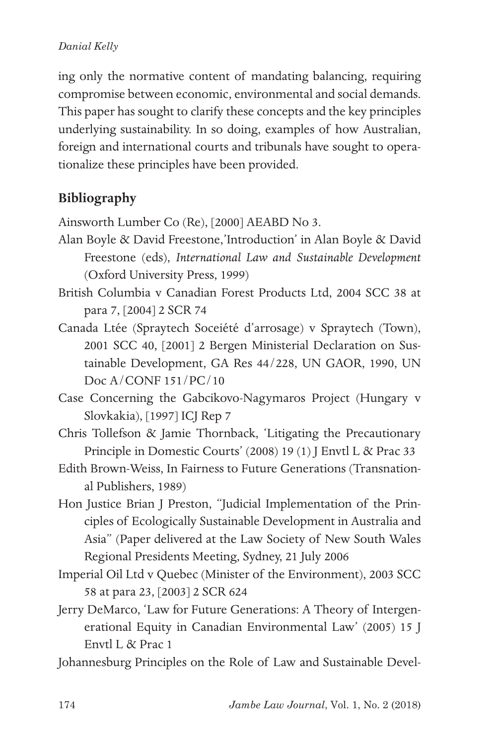ing only the normative content of mandating balancing, requiring compromise between economic, environmental and social demands. This paper has sought to clarify these concepts and the key principles underlying sustainability. In so doing, examples of how Australian, foreign and international courts and tribunals have sought to operationalize these principles have been provided.

## **Bibliography**

Ainsworth Lumber Co (Re), [2000] AEABD No 3.

- Alan Boyle & David Freestone,'Introduction' in Alan Boyle & David Freestone (eds), *International Law and Sustainable Development* (Oxford University Press, 1999)
- British Columbia v Canadian Forest Products Ltd, 2004 SCC 38 at para 7, [2004] 2 SCR 74
- Canada Ltée (Spraytech Soceiété d'arrosage) v Spraytech (Town), 2001 SCC 40, [2001] 2 Bergen Ministerial Declaration on Sustainable Development, GA Res 44/228, UN GAOR, 1990, UN Doc A/CONF 151/PC/10
- Case Concerning the Gabcikovo-Nagymaros Project (Hungary v Slovkakia), [1997] ICJ Rep 7
- Chris Tollefson & Jamie Thornback, 'Litigating the Precautionary Principle in Domestic Courts' (2008) 19 (1) J Envtl L & Prac 33
- Edith Brown-Weiss, In Fairness to Future Generations (Transnational Publishers, 1989)
- Hon Justice Brian J Preston, "Judicial Implementation of the Principles of Ecologically Sustainable Development in Australia and Asia" (Paper delivered at the Law Society of New South Wales Regional Presidents Meeting, Sydney, 21 July 2006
- Imperial Oil Ltd v Quebec (Minister of the Environment), 2003 SCC 58 at para 23, [2003] 2 SCR 624
- Jerry DeMarco, 'Law for Future Generations: A Theory of Intergenerational Equity in Canadian Environmental Law' (2005) 15 J Envtl L & Prac 1
- Johannesburg Principles on the Role of Law and Sustainable Devel-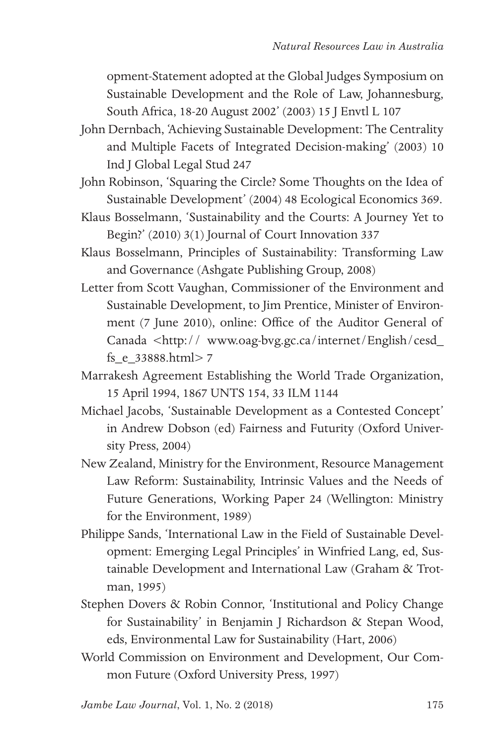opment-Statement adopted at the Global Judges Symposium on Sustainable Development and the Role of Law, Johannesburg, South Africa, 18-20 August 2002' (2003) 15 J Envtl L 107

- John Dernbach, 'Achieving Sustainable Development: The Centrality and Multiple Facets of Integrated Decision-making' (2003) 10 Ind J Global Legal Stud 247
- John Robinson, 'Squaring the Circle? Some Thoughts on the Idea of Sustainable Development' (2004) 48 Ecological Economics 369.
- Klaus Bosselmann, 'Sustainability and the Courts: A Journey Yet to Begin?' (2010) 3(1) Journal of Court Innovation 337
- Klaus Bosselmann, Principles of Sustainability: Transforming Law and Governance (Ashgate Publishing Group, 2008)
- Letter from Scott Vaughan, Commissioner of the Environment and Sustainable Development, to Jim Prentice, Minister of Environment (7 June 2010), online: Office of the Auditor General of Canada <http:// www.oag-bvg.gc.ca/internet/English/cesd\_ fs\_e\_33888.html> 7
- Marrakesh Agreement Establishing the World Trade Organization, 15 April 1994, 1867 UNTS 154, 33 ILM 1144
- Michael Jacobs, 'Sustainable Development as a Contested Concept' in Andrew Dobson (ed) Fairness and Futurity (Oxford University Press, 2004)
- New Zealand, Ministry for the Environment, Resource Management Law Reform: Sustainability, Intrinsic Values and the Needs of Future Generations, Working Paper 24 (Wellington: Ministry for the Environment, 1989)
- Philippe Sands, 'International Law in the Field of Sustainable Development: Emerging Legal Principles' in Winfried Lang, ed, Sustainable Development and International Law (Graham & Trotman, 1995)
- Stephen Dovers & Robin Connor, 'Institutional and Policy Change for Sustainability' in Benjamin J Richardson & Stepan Wood, eds, Environmental Law for Sustainability (Hart, 2006)
- World Commission on Environment and Development, Our Common Future (Oxford University Press, 1997)

*Jambe Law Journal*, Vol. 1, No. 2 (2018)